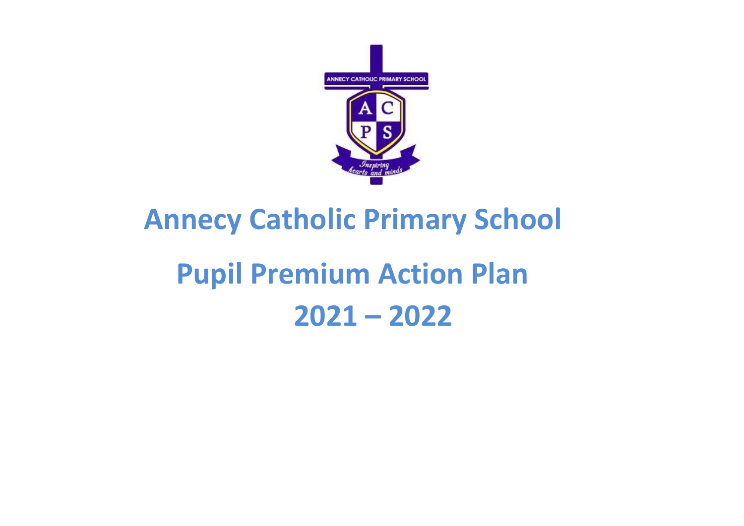

# **Annecy Catholic Primary School Pupil Premium Action Plan 2021 – 2022**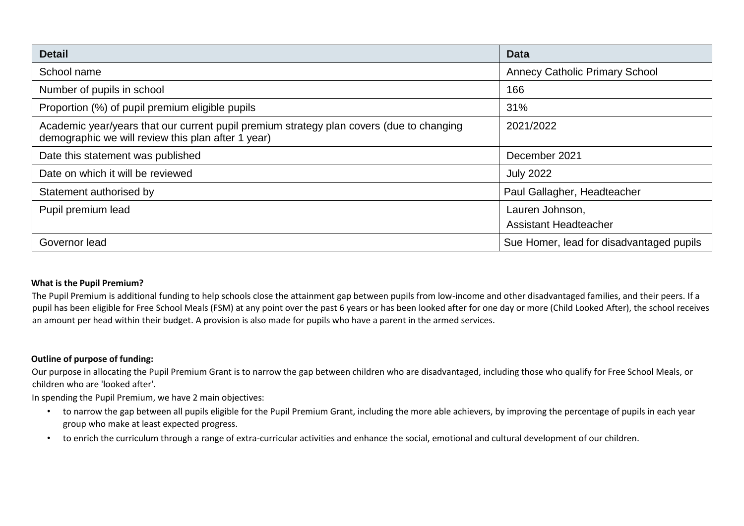| <b>Detail</b>                                                                                                                                  | <b>Data</b>                              |
|------------------------------------------------------------------------------------------------------------------------------------------------|------------------------------------------|
| School name                                                                                                                                    | <b>Annecy Catholic Primary School</b>    |
| Number of pupils in school                                                                                                                     | 166                                      |
| Proportion (%) of pupil premium eligible pupils                                                                                                | 31%                                      |
| Academic year/years that our current pupil premium strategy plan covers (due to changing<br>demographic we will review this plan after 1 year) | 2021/2022                                |
| Date this statement was published                                                                                                              | December 2021                            |
| Date on which it will be reviewed                                                                                                              | <b>July 2022</b>                         |
| Statement authorised by                                                                                                                        | Paul Gallagher, Headteacher              |
| Pupil premium lead                                                                                                                             | Lauren Johnson,                          |
|                                                                                                                                                | <b>Assistant Headteacher</b>             |
| Governor lead                                                                                                                                  | Sue Homer, lead for disadvantaged pupils |

#### **What is the Pupil Premium?**

The Pupil Premium is additional funding to help schools close the attainment gap between pupils from low-income and other disadvantaged families, and their peers. If a pupil has been eligible for Free School Meals (FSM) at any point over the past 6 years or has been looked after for one day or more (Child Looked After), the school receives an amount per head within their budget. A provision is also made for pupils who have a parent in the armed services.

#### **Outline of purpose of funding:**

Our purpose in allocating the Pupil Premium Grant is to narrow the gap between children who are disadvantaged, including those who qualify for Free School Meals, or children who are 'looked after'.

In spending the Pupil Premium, we have 2 main objectives:

- to narrow the gap between all pupils eligible for the Pupil Premium Grant, including the more able achievers, by improving the percentage of pupils in each year group who make at least expected progress.
- to enrich the curriculum through a range of extra-curricular activities and enhance the social, emotional and cultural development of our children.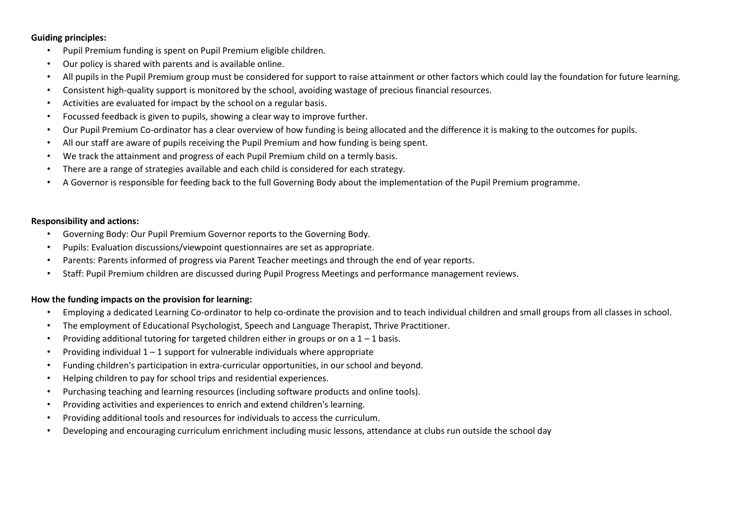#### **Guiding principles:**

- Pupil Premium funding is spent on Pupil Premium eligible children.
- Our policy is shared with parents and is available online.
- All pupils in the Pupil Premium group must be considered for support to raise attainment or other factors which could lay the foundation for future learning.
- Consistent high-quality support is monitored by the school, avoiding wastage of precious financial resources.
- Activities are evaluated for impact by the school on a regular basis.
- Focussed feedback is given to pupils, showing a clear way to improve further.
- Our Pupil Premium Co-ordinator has a clear overview of how funding is being allocated and the difference it is making to the outcomes for pupils.
- All our staff are aware of pupils receiving the Pupil Premium and how funding is being spent.
- We track the attainment and progress of each Pupil Premium child on a termly basis.
- There are a range of strategies available and each child is considered for each strategy.
- A Governor is responsible for feeding back to the full Governing Body about the implementation of the Pupil Premium programme.

#### **Responsibility and actions:**

- Governing Body: Our Pupil Premium Governor reports to the Governing Body.
- Pupils: Evaluation discussions/viewpoint questionnaires are set as appropriate.
- Parents: Parents informed of progress via Parent Teacher meetings and through the end of year reports.
- Staff: Pupil Premium children are discussed during Pupil Progress Meetings and performance management reviews.

#### **How the funding impacts on the provision for learning:**

- Employing a dedicated Learning Co-ordinator to help co-ordinate the provision and to teach individual children and small groups from all classes in school.
- The employment of Educational Psychologist, Speech and Language Therapist, Thrive Practitioner.
- Providing additional tutoring for targeted children either in groups or on a  $1 1$  basis.
- Providing individual  $1 1$  support for vulnerable individuals where appropriate
- Funding children's participation in extra-curricular opportunities, in our school and beyond.
- Helping children to pay for school trips and residential experiences.
- Purchasing teaching and learning resources (including software products and online tools).
- Providing activities and experiences to enrich and extend children's learning.
- Providing additional tools and resources for individuals to access the curriculum.
- Developing and encouraging curriculum enrichment including music lessons, attendance at clubs run outside the school day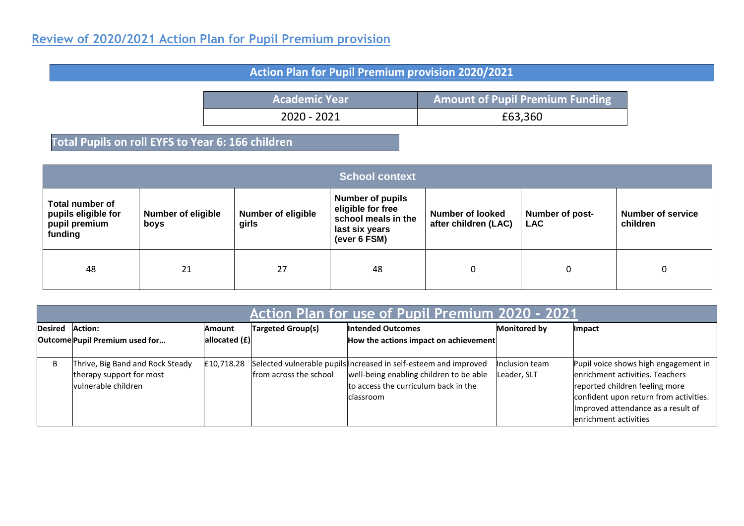## **Review of 2020/2021 Action Plan for Pupil Premium provision**

## **Action Plan for Pupil Premium provision 2020/2021**

**Academic Year Amount of Pupil Premium Funding** 2020 - 2021 **E**63,360

## **Total Pupils on roll EYFS to Year 6: 166 children**

| <b>School context</b>                                              |                                   |                                    |                                                                                                       |                                                 |                               |                                      |  |
|--------------------------------------------------------------------|-----------------------------------|------------------------------------|-------------------------------------------------------------------------------------------------------|-------------------------------------------------|-------------------------------|--------------------------------------|--|
| Total number of<br>pupils eligible for<br>pupil premium<br>funding | <b>Number of eligible</b><br>boys | <b>Number of eligible</b><br>girls | <b>Number of pupils</b><br>eligible for free<br>school meals in the<br>last six years<br>(ever 6 FSM) | <b>Number of looked</b><br>after children (LAC) | Number of post-<br><b>LAC</b> | <b>Number of service</b><br>children |  |
| 48                                                                 | 21                                | 27                                 | 48                                                                                                    | 0                                               | 0                             |                                      |  |

|                | Action Plan for use of Pupil Premium 2020 - 2021  |            |                          |                                                                  |                     |                                        |  |
|----------------|---------------------------------------------------|------------|--------------------------|------------------------------------------------------------------|---------------------|----------------------------------------|--|
| <b>Desired</b> | Action:                                           | Amount     | <b>Targeted Group(s)</b> | <b>Intended Outcomes</b>                                         | <b>Monitored by</b> | Impact                                 |  |
|                | allocated $(f)$<br>Outcome Pupil Premium used for |            |                          | How the actions impact on achievement                            |                     |                                        |  |
|                |                                                   |            |                          |                                                                  |                     |                                        |  |
| B              | Thrive, Big Band and Rock Steady                  | £10,718.28 |                          | Selected vulnerable pupils Increased in self-esteem and improved | Inclusion team      | Pupil voice shows high engagement in   |  |
|                | therapy support for most                          |            | from across the school   | well-being enabling children to be able                          | Leader, SLT         | lenrichment activities. Teachers       |  |
|                | vulnerable children                               |            |                          | to access the curriculum back in the                             |                     | reported children feeling more         |  |
|                |                                                   |            |                          | classroom                                                        |                     | confident upon return from activities. |  |
|                |                                                   |            |                          |                                                                  |                     | Improved attendance as a result of     |  |
|                |                                                   |            |                          |                                                                  |                     | lenrichment activities                 |  |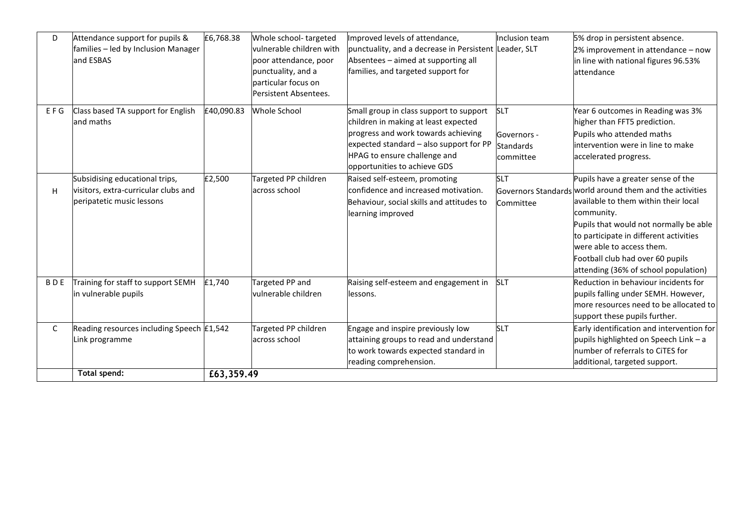| D            | Attendance support for pupils &<br>families - led by Inclusion Manager<br>and ESBAS                 | £6,768.38  | Whole school-targeted<br>vulnerable children with<br>poor attendance, poor<br>punctuality, and a<br>particular focus on<br>Persistent Absentees. | Improved levels of attendance,<br>punctuality, and a decrease in Persistent Leader, SLT<br>Absentees - aimed at supporting all<br>families, and targeted support for                                                              | Inclusion team                                             | 5% drop in persistent absence.<br>2% improvement in attendance - now<br>in line with national figures 96.53%<br>attendance                                                                                                                                                                                                                        |
|--------------|-----------------------------------------------------------------------------------------------------|------------|--------------------------------------------------------------------------------------------------------------------------------------------------|-----------------------------------------------------------------------------------------------------------------------------------------------------------------------------------------------------------------------------------|------------------------------------------------------------|---------------------------------------------------------------------------------------------------------------------------------------------------------------------------------------------------------------------------------------------------------------------------------------------------------------------------------------------------|
| EFG          | Class based TA support for English<br>land maths                                                    | £40,090.83 | <b>Whole School</b>                                                                                                                              | Small group in class support to support<br>children in making at least expected<br>progress and work towards achieving<br>expected standard - also support for PP<br>HPAG to ensure challenge and<br>opportunities to achieve GDS | <b>SLT</b><br>Governors -<br><b>Standards</b><br>committee | Year 6 outcomes in Reading was 3%<br>higher than FFT5 prediction.<br>Pupils who attended maths<br>intervention were in line to make<br>accelerated progress.                                                                                                                                                                                      |
| H            | Subsidising educational trips,<br>visitors, extra-curricular clubs and<br>peripatetic music lessons | £2,500     | Targeted PP children<br>across school                                                                                                            | Raised self-esteem, promoting<br>confidence and increased motivation.<br>Behaviour, social skills and attitudes to<br>learning improved                                                                                           | <b>SLT</b><br>Committee                                    | Pupils have a greater sense of the<br>Governors Standards world around them and the activities<br>available to them within their local<br>community.<br>Pupils that would not normally be able<br>to participate in different activities<br>were able to access them.<br>Football club had over 60 pupils<br>attending (36% of school population) |
| <b>BDE</b>   | Training for staff to support SEMH<br>in vulnerable pupils                                          | £1,740     | Targeted PP and<br>vulnerable children                                                                                                           | Raising self-esteem and engagement in<br>lessons.                                                                                                                                                                                 | <b>SLT</b>                                                 | Reduction in behaviour incidents for<br>pupils falling under SEMH. However,<br>more resources need to be allocated to<br>support these pupils further.                                                                                                                                                                                            |
| $\mathsf{C}$ | Reading resources including Speech £1,542<br>Link programme                                         |            | Targeted PP children<br>across school                                                                                                            | Engage and inspire previously low<br>attaining groups to read and understand<br>to work towards expected standard in<br>reading comprehension.                                                                                    | <b>SLT</b>                                                 | Early identification and intervention for<br>pupils highlighted on Speech Link - a<br>number of referrals to CiTES for<br>additional, targeted support.                                                                                                                                                                                           |
|              | Total spend:                                                                                        | £63,359.49 |                                                                                                                                                  |                                                                                                                                                                                                                                   |                                                            |                                                                                                                                                                                                                                                                                                                                                   |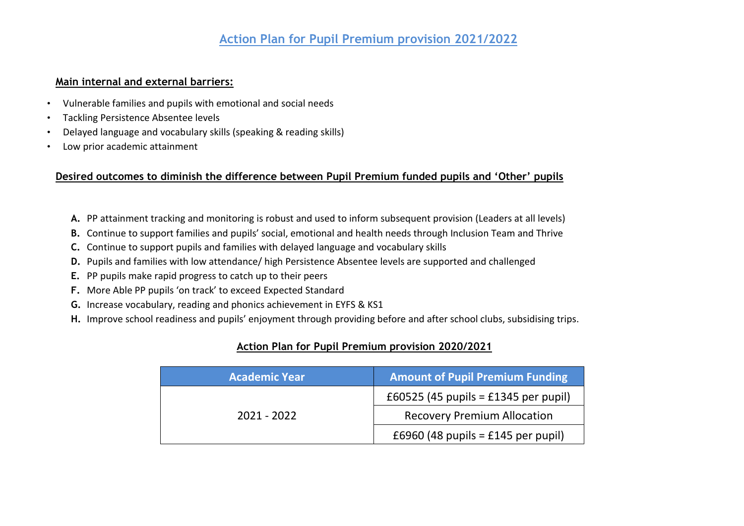## **Action Plan for Pupil Premium provision 2021/2022**

#### **Main internal and external barriers:**

- Vulnerable families and pupils with emotional and social needs
- Tackling Persistence Absentee levels
- Delayed language and vocabulary skills (speaking & reading skills)
- Low prior academic attainment

## **Desired outcomes to diminish the difference between Pupil Premium funded pupils and 'Other' pupils**

- **A.** PP attainment tracking and monitoring is robust and used to inform subsequent provision (Leaders at all levels)
- **B.** Continue to support families and pupils' social, emotional and health needs through Inclusion Team and Thrive
- **C.** Continue to support pupils and families with delayed language and vocabulary skills
- **D.** Pupils and families with low attendance/ high Persistence Absentee levels are supported and challenged
- **E.** PP pupils make rapid progress to catch up to their peers
- **F.** More Able PP pupils 'on track' to exceed Expected Standard
- **G.** Increase vocabulary, reading and phonics achievement in EYFS & KS1
- **H.** Improve school readiness and pupils' enjoyment through providing before and after school clubs, subsidising trips.

## **Action Plan for Pupil Premium provision 2020/2021**

| <b>Academic Year</b> | <b>Amount of Pupil Premium Funding</b> |  |
|----------------------|----------------------------------------|--|
|                      | £60525 (45 pupils = £1345 per pupil)   |  |
| 2021 - 2022          | <b>Recovery Premium Allocation</b>     |  |
|                      | £6960 (48 pupils = £145 per pupil)     |  |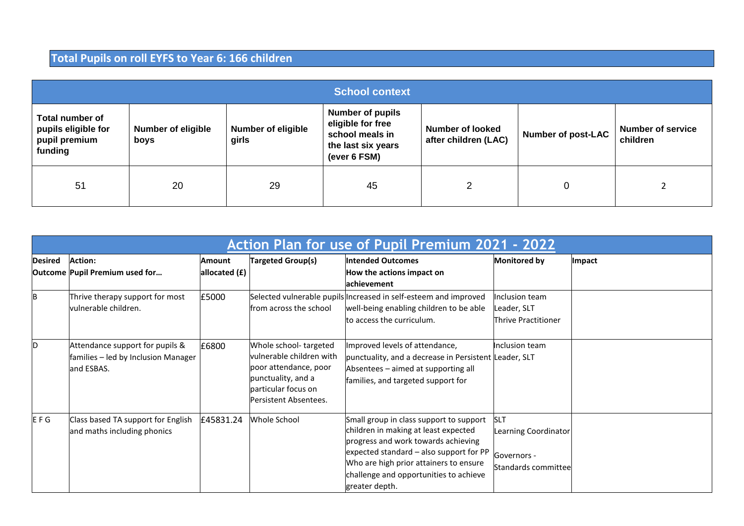## **Total Pupils on roll EYFS to Year 6: 166 children**

| <b>School context</b>                                              |                                   |                                    |                                                                                                       |                                                 |                           |                                      |  |  |
|--------------------------------------------------------------------|-----------------------------------|------------------------------------|-------------------------------------------------------------------------------------------------------|-------------------------------------------------|---------------------------|--------------------------------------|--|--|
| Total number of<br>pupils eligible for<br>pupil premium<br>funding | <b>Number of eligible</b><br>boys | <b>Number of eligible</b><br>girls | <b>Number of pupils</b><br>eligible for free<br>school meals in<br>the last six years<br>(ever 6 FSM) | <b>Number of looked</b><br>after children (LAC) | <b>Number of post-LAC</b> | <b>Number of service</b><br>children |  |  |
| 51                                                                 | 20                                | 29                                 | 45                                                                                                    | າ                                               | 0                         |                                      |  |  |

|                | Action Plan for use of Pupil Premium 2021 - 2022                                     |                           |                                                                                                                                                  |                                                                                                                                                                                                                                                                         |                                                                          |        |
|----------------|--------------------------------------------------------------------------------------|---------------------------|--------------------------------------------------------------------------------------------------------------------------------------------------|-------------------------------------------------------------------------------------------------------------------------------------------------------------------------------------------------------------------------------------------------------------------------|--------------------------------------------------------------------------|--------|
| <b>Desired</b> | <b>Action:</b><br>Outcome Pupil Premium used for                                     | Amount<br>allocated $(f)$ | <b>Targeted Group(s)</b>                                                                                                                         | <b>Intended Outcomes</b><br>How the actions impact on<br>achievement                                                                                                                                                                                                    | <b>Monitored by</b>                                                      | Impact |
| B              | Thrive therapy support for most<br>vulnerable children.                              | £5000                     | from across the school                                                                                                                           | Selected vulnerable pupils Increased in self-esteem and improved<br>well-being enabling children to be able<br>to access the curriculum.                                                                                                                                | Inclusion team<br>Leader, SLT<br>Thrive Practitioner                     |        |
| D              | Attendance support for pupils &<br>families - led by Inclusion Manager<br>and ESBAS. | £6800                     | Whole school-targeted<br>vulnerable children with<br>poor attendance, poor<br>punctuality, and a<br>particular focus on<br>Persistent Absentees. | Improved levels of attendance,<br>punctuality, and a decrease in Persistent Leader, SLT<br>Absentees - aimed at supporting all<br>families, and targeted support for                                                                                                    | Inclusion team                                                           |        |
| EFG            | Class based TA support for English<br>and maths including phonics                    | £45831.24                 | Whole School                                                                                                                                     | Small group in class support to support<br>children in making at least expected<br>progress and work towards achieving<br>expected standard - also support for PP<br>Who are high prior attainers to ensure<br>challenge and opportunities to achieve<br>greater depth. | <b>SLT</b><br>Learning Coordinator<br>Governors -<br>Standards committee |        |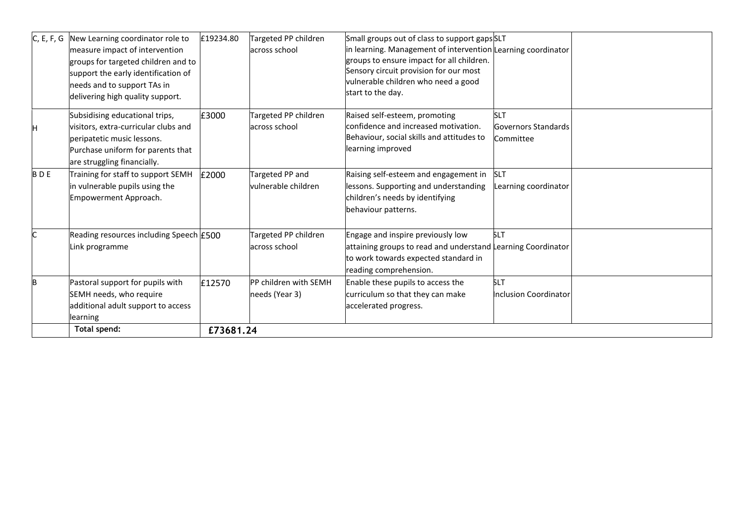|            | Total spend:                                                                                                                                                                                                        | £73681.24 |                                                |                                                                                                                                                                                                                                                                  |                                                |  |
|------------|---------------------------------------------------------------------------------------------------------------------------------------------------------------------------------------------------------------------|-----------|------------------------------------------------|------------------------------------------------------------------------------------------------------------------------------------------------------------------------------------------------------------------------------------------------------------------|------------------------------------------------|--|
|            | Pastoral support for pupils with<br>SEMH needs, who require<br>additional adult support to access<br>learning                                                                                                       | £12570    | <b>PP children with SEMH</b><br>needs (Year 3) | Enable these pupils to access the<br>curriculum so that they can make<br>accelerated progress.                                                                                                                                                                   | <b>SLT</b><br>Inclusion Coordinator            |  |
|            | Reading resources including Speech E500<br>ink programme                                                                                                                                                            |           | Targeted PP children<br>across school          | Engage and inspire previously low<br>attaining groups to read and understand Learning Coordinator<br>to work towards expected standard in<br>reading comprehension.                                                                                              | <b>SLT</b>                                     |  |
| <b>BDE</b> | Training for staff to support SEMH<br>in vulnerable pupils using the<br>Empowerment Approach.                                                                                                                       | £2000     | Targeted PP and<br>vulnerable children         | Raising self-esteem and engagement in<br>lessons. Supporting and understanding<br>children's needs by identifying<br>behaviour patterns.                                                                                                                         | <b>SLT</b><br>Learning coordinator             |  |
|            | Subsidising educational trips,<br>visitors, extra-curricular clubs and<br>peripatetic music lessons.<br>Purchase uniform for parents that<br>are struggling financially.                                            | £3000     | Targeted PP children<br>across school          | Raised self-esteem, promoting<br>confidence and increased motivation.<br>Behaviour, social skills and attitudes to<br>learning improved                                                                                                                          | <b>SLT</b><br>Governors Standards<br>Committee |  |
| C, E, F, G | New Learning coordinator role to<br>measure impact of intervention<br>groups for targeted children and to<br>support the early identification of<br>needs and to support TAs in<br>delivering high quality support. | £19234.80 | Targeted PP children<br>across school          | Small groups out of class to support gaps SLT<br>in learning. Management of intervention Learning coordinator<br>groups to ensure impact for all children.<br>Sensory circuit provision for our most<br>vulnerable children who need a good<br>start to the day. |                                                |  |